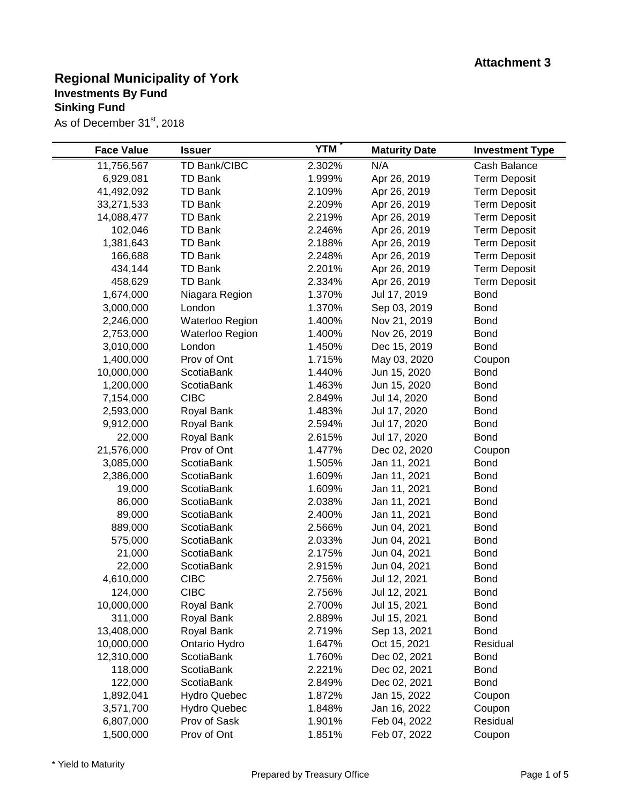| <b>Face Value</b> | <b>Issuer</b>       | <b>YTM</b> | <b>Maturity Date</b> | <b>Investment Type</b> |
|-------------------|---------------------|------------|----------------------|------------------------|
| 11,756,567        | TD Bank/CIBC        | 2.302%     | N/A                  | Cash Balance           |
| 6,929,081         | <b>TD Bank</b>      | 1.999%     | Apr 26, 2019         | <b>Term Deposit</b>    |
| 41,492,092        | <b>TD Bank</b>      | 2.109%     | Apr 26, 2019         | <b>Term Deposit</b>    |
| 33,271,533        | <b>TD Bank</b>      | 2.209%     | Apr 26, 2019         | <b>Term Deposit</b>    |
| 14,088,477        | <b>TD Bank</b>      | 2.219%     | Apr 26, 2019         | <b>Term Deposit</b>    |
| 102,046           | <b>TD Bank</b>      | 2.246%     | Apr 26, 2019         | <b>Term Deposit</b>    |
| 1,381,643         | <b>TD Bank</b>      | 2.188%     | Apr 26, 2019         | <b>Term Deposit</b>    |
| 166,688           | <b>TD Bank</b>      | 2.248%     | Apr 26, 2019         | <b>Term Deposit</b>    |
| 434,144           | <b>TD Bank</b>      | 2.201%     | Apr 26, 2019         | <b>Term Deposit</b>    |
| 458,629           | <b>TD Bank</b>      | 2.334%     | Apr 26, 2019         | <b>Term Deposit</b>    |
| 1,674,000         | Niagara Region      | 1.370%     | Jul 17, 2019         | <b>Bond</b>            |
| 3,000,000         | London              | 1.370%     | Sep 03, 2019         | <b>Bond</b>            |
| 2,246,000         | Waterloo Region     | 1.400%     | Nov 21, 2019         | <b>Bond</b>            |
| 2,753,000         | Waterloo Region     | 1.400%     | Nov 26, 2019         | <b>Bond</b>            |
| 3,010,000         | London              | 1.450%     | Dec 15, 2019         | <b>Bond</b>            |
| 1,400,000         | Prov of Ont         | 1.715%     | May 03, 2020         | Coupon                 |
| 10,000,000        | <b>ScotiaBank</b>   | 1.440%     | Jun 15, 2020         | <b>Bond</b>            |
| 1,200,000         | ScotiaBank          | 1.463%     | Jun 15, 2020         | <b>Bond</b>            |
| 7,154,000         | <b>CIBC</b>         | 2.849%     | Jul 14, 2020         | <b>Bond</b>            |
| 2,593,000         | Royal Bank          | 1.483%     | Jul 17, 2020         | <b>Bond</b>            |
| 9,912,000         | Royal Bank          | 2.594%     | Jul 17, 2020         | <b>Bond</b>            |
| 22,000            | Royal Bank          | 2.615%     | Jul 17, 2020         | <b>Bond</b>            |
| 21,576,000        | Prov of Ont         | 1.477%     | Dec 02, 2020         | Coupon                 |
| 3,085,000         | <b>ScotiaBank</b>   | 1.505%     | Jan 11, 2021         | <b>Bond</b>            |
| 2,386,000         | ScotiaBank          | 1.609%     | Jan 11, 2021         | <b>Bond</b>            |
| 19,000            | ScotiaBank          | 1.609%     | Jan 11, 2021         | <b>Bond</b>            |
| 86,000            | <b>ScotiaBank</b>   | 2.038%     | Jan 11, 2021         | <b>Bond</b>            |
| 89,000            | ScotiaBank          | 2.400%     | Jan 11, 2021         | <b>Bond</b>            |
| 889,000           | ScotiaBank          | 2.566%     | Jun 04, 2021         | <b>Bond</b>            |
| 575,000           | ScotiaBank          | 2.033%     | Jun 04, 2021         | <b>Bond</b>            |
| 21,000            | ScotiaBank          | 2.175%     | Jun 04, 2021         | <b>Bond</b>            |
| 22,000            | <b>ScotiaBank</b>   | 2.915%     | Jun 04, 2021         | <b>Bond</b>            |
| 4,610,000         | <b>CIBC</b>         | 2.756%     | Jul 12, 2021         | <b>Bond</b>            |
| 124,000           | <b>CIBC</b>         | 2.756%     | Jul 12, 2021         | <b>Bond</b>            |
| 10,000,000        | Royal Bank          | 2.700%     | Jul 15, 2021         | <b>Bond</b>            |
| 311,000           | Royal Bank          | 2.889%     | Jul 15, 2021         | <b>Bond</b>            |
| 13,408,000        | Royal Bank          | 2.719%     | Sep 13, 2021         | <b>Bond</b>            |
| 10,000,000        | Ontario Hydro       | 1.647%     | Oct 15, 2021         | Residual               |
| 12,310,000        | <b>ScotiaBank</b>   | 1.760%     | Dec 02, 2021         | <b>Bond</b>            |
| 118,000           | ScotiaBank          | 2.221%     | Dec 02, 2021         | <b>Bond</b>            |
| 122,000           | <b>ScotiaBank</b>   | 2.849%     | Dec 02, 2021         | <b>Bond</b>            |
| 1,892,041         | <b>Hydro Quebec</b> | 1.872%     | Jan 15, 2022         | Coupon                 |
| 3,571,700         | <b>Hydro Quebec</b> | 1.848%     | Jan 16, 2022         | Coupon                 |
| 6,807,000         | Prov of Sask        | 1.901%     | Feb 04, 2022         | Residual               |
| 1,500,000         | Prov of Ont         | 1.851%     | Feb 07, 2022         | Coupon                 |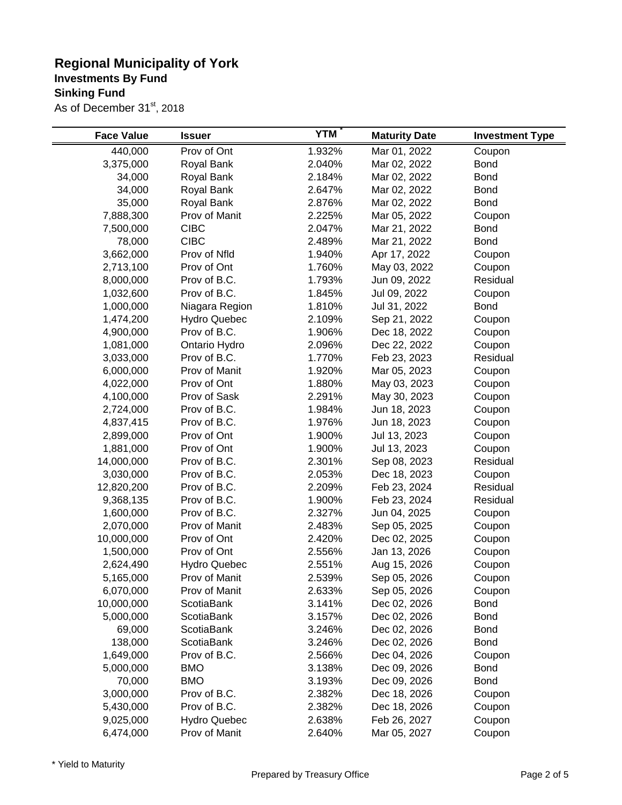| <b>Face Value</b> | <b>Issuer</b>       | <b>YTM</b> | <b>Maturity Date</b> | <b>Investment Type</b> |
|-------------------|---------------------|------------|----------------------|------------------------|
| 440,000           | Prov of Ont         | 1.932%     | Mar 01, 2022         | Coupon                 |
| 3,375,000         | Royal Bank          | 2.040%     | Mar 02, 2022         | <b>Bond</b>            |
| 34,000            | Royal Bank          | 2.184%     | Mar 02, 2022         | <b>Bond</b>            |
| 34,000            | Royal Bank          | 2.647%     | Mar 02, 2022         | <b>Bond</b>            |
| 35,000            | Royal Bank          | 2.876%     | Mar 02, 2022         | <b>Bond</b>            |
| 7,888,300         | Prov of Manit       | 2.225%     | Mar 05, 2022         | Coupon                 |
| 7,500,000         | <b>CIBC</b>         | 2.047%     | Mar 21, 2022         | <b>Bond</b>            |
| 78,000            | <b>CIBC</b>         | 2.489%     | Mar 21, 2022         | <b>Bond</b>            |
| 3,662,000         | Prov of Nfld        | 1.940%     | Apr 17, 2022         | Coupon                 |
| 2,713,100         | Prov of Ont         | 1.760%     | May 03, 2022         | Coupon                 |
| 8,000,000         | Prov of B.C.        | 1.793%     | Jun 09, 2022         | Residual               |
| 1,032,600         | Prov of B.C.        | 1.845%     | Jul 09, 2022         | Coupon                 |
| 1,000,000         | Niagara Region      | 1.810%     | Jul 31, 2022         | <b>Bond</b>            |
| 1,474,200         | <b>Hydro Quebec</b> | 2.109%     | Sep 21, 2022         | Coupon                 |
| 4,900,000         | Prov of B.C.        | 1.906%     | Dec 18, 2022         | Coupon                 |
| 1,081,000         | Ontario Hydro       | 2.096%     | Dec 22, 2022         | Coupon                 |
| 3,033,000         | Prov of B.C.        | 1.770%     | Feb 23, 2023         | Residual               |
| 6,000,000         | Prov of Manit       | 1.920%     | Mar 05, 2023         | Coupon                 |
| 4,022,000         | Prov of Ont         | 1.880%     | May 03, 2023         | Coupon                 |
| 4,100,000         | Prov of Sask        | 2.291%     | May 30, 2023         | Coupon                 |
| 2,724,000         | Prov of B.C.        | 1.984%     | Jun 18, 2023         | Coupon                 |
| 4,837,415         | Prov of B.C.        | 1.976%     | Jun 18, 2023         | Coupon                 |
| 2,899,000         | Prov of Ont         | 1.900%     | Jul 13, 2023         | Coupon                 |
| 1,881,000         | Prov of Ont         | 1.900%     | Jul 13, 2023         | Coupon                 |
| 14,000,000        | Prov of B.C.        | 2.301%     | Sep 08, 2023         | Residual               |
| 3,030,000         | Prov of B.C.        | 2.053%     | Dec 18, 2023         | Coupon                 |
| 12,820,200        | Prov of B.C.        | 2.209%     | Feb 23, 2024         | Residual               |
| 9,368,135         | Prov of B.C.        | 1.900%     | Feb 23, 2024         | Residual               |
| 1,600,000         | Prov of B.C.        | 2.327%     | Jun 04, 2025         | Coupon                 |
| 2,070,000         | Prov of Manit       | 2.483%     | Sep 05, 2025         | Coupon                 |
| 10,000,000        | Prov of Ont         | 2.420%     | Dec 02, 2025         | Coupon                 |
| 1,500,000         | Prov of Ont         | 2.556%     | Jan 13, 2026         | Coupon                 |
| 2,624,490         | <b>Hydro Quebec</b> | 2.551%     | Aug 15, 2026         | Coupon                 |
| 5,165,000         | Prov of Manit       | 2.539%     | Sep 05, 2026         | Coupon                 |
| 6,070,000         | Prov of Manit       | 2.633%     | Sep 05, 2026         | Coupon                 |
| 10,000,000        | <b>ScotiaBank</b>   | 3.141%     | Dec 02, 2026         | <b>Bond</b>            |
| 5,000,000         | ScotiaBank          | 3.157%     | Dec 02, 2026         | <b>Bond</b>            |
| 69,000            | <b>ScotiaBank</b>   | 3.246%     | Dec 02, 2026         | <b>Bond</b>            |
| 138,000           | <b>ScotiaBank</b>   | 3.246%     | Dec 02, 2026         | <b>Bond</b>            |
| 1,649,000         | Prov of B.C.        | 2.566%     | Dec 04, 2026         | Coupon                 |
| 5,000,000         | <b>BMO</b>          | 3.138%     | Dec 09, 2026         | <b>Bond</b>            |
| 70,000            | <b>BMO</b>          | 3.193%     | Dec 09, 2026         | <b>Bond</b>            |
| 3,000,000         | Prov of B.C.        | 2.382%     | Dec 18, 2026         | Coupon                 |
| 5,430,000         | Prov of B.C.        | 2.382%     | Dec 18, 2026         | Coupon                 |
| 9,025,000         | <b>Hydro Quebec</b> | 2.638%     | Feb 26, 2027         | Coupon                 |
| 6,474,000         | Prov of Manit       | 2.640%     | Mar 05, 2027         | Coupon                 |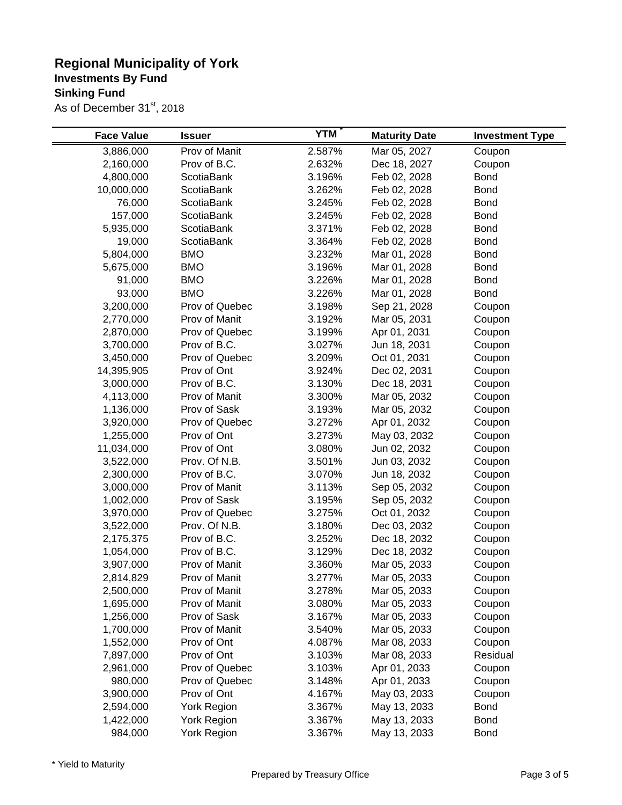| <b>Face Value</b>                                                                                                                                                                                                                                                         | <b>Issuer</b>                                                                                                                                                                                                                                                                                                                                              | <b>YTM</b>                                                                                                                                                                                                     | <b>Maturity Date</b>                                                                                                                                                                                                                                                                                                                         | <b>Investment Type</b>                                                                                                                                                                                                          |
|---------------------------------------------------------------------------------------------------------------------------------------------------------------------------------------------------------------------------------------------------------------------------|------------------------------------------------------------------------------------------------------------------------------------------------------------------------------------------------------------------------------------------------------------------------------------------------------------------------------------------------------------|----------------------------------------------------------------------------------------------------------------------------------------------------------------------------------------------------------------|----------------------------------------------------------------------------------------------------------------------------------------------------------------------------------------------------------------------------------------------------------------------------------------------------------------------------------------------|---------------------------------------------------------------------------------------------------------------------------------------------------------------------------------------------------------------------------------|
| 3,886,000                                                                                                                                                                                                                                                                 | Prov of Manit                                                                                                                                                                                                                                                                                                                                              | 2.587%                                                                                                                                                                                                         | Mar 05, 2027                                                                                                                                                                                                                                                                                                                                 | Coupon                                                                                                                                                                                                                          |
| 2,160,000                                                                                                                                                                                                                                                                 | Prov of B.C.                                                                                                                                                                                                                                                                                                                                               | 2.632%                                                                                                                                                                                                         | Dec 18, 2027                                                                                                                                                                                                                                                                                                                                 | Coupon                                                                                                                                                                                                                          |
| 4,800,000                                                                                                                                                                                                                                                                 | <b>ScotiaBank</b>                                                                                                                                                                                                                                                                                                                                          | 3.196%                                                                                                                                                                                                         | Feb 02, 2028                                                                                                                                                                                                                                                                                                                                 | <b>Bond</b>                                                                                                                                                                                                                     |
| 10,000,000                                                                                                                                                                                                                                                                | <b>ScotiaBank</b>                                                                                                                                                                                                                                                                                                                                          | 3.262%                                                                                                                                                                                                         | Feb 02, 2028                                                                                                                                                                                                                                                                                                                                 | <b>Bond</b>                                                                                                                                                                                                                     |
| 76,000                                                                                                                                                                                                                                                                    | ScotiaBank                                                                                                                                                                                                                                                                                                                                                 | 3.245%                                                                                                                                                                                                         | Feb 02, 2028                                                                                                                                                                                                                                                                                                                                 | <b>Bond</b>                                                                                                                                                                                                                     |
| 157,000                                                                                                                                                                                                                                                                   | ScotiaBank                                                                                                                                                                                                                                                                                                                                                 | 3.245%                                                                                                                                                                                                         | Feb 02, 2028                                                                                                                                                                                                                                                                                                                                 | <b>Bond</b>                                                                                                                                                                                                                     |
| 5,935,000                                                                                                                                                                                                                                                                 | <b>ScotiaBank</b>                                                                                                                                                                                                                                                                                                                                          | 3.371%                                                                                                                                                                                                         | Feb 02, 2028                                                                                                                                                                                                                                                                                                                                 | <b>Bond</b>                                                                                                                                                                                                                     |
| 19,000                                                                                                                                                                                                                                                                    | ScotiaBank                                                                                                                                                                                                                                                                                                                                                 | 3.364%                                                                                                                                                                                                         | Feb 02, 2028                                                                                                                                                                                                                                                                                                                                 | <b>Bond</b>                                                                                                                                                                                                                     |
| 5,804,000                                                                                                                                                                                                                                                                 | <b>BMO</b>                                                                                                                                                                                                                                                                                                                                                 | 3.232%                                                                                                                                                                                                         | Mar 01, 2028                                                                                                                                                                                                                                                                                                                                 | <b>Bond</b>                                                                                                                                                                                                                     |
| 5,675,000                                                                                                                                                                                                                                                                 | <b>BMO</b>                                                                                                                                                                                                                                                                                                                                                 | 3.196%                                                                                                                                                                                                         | Mar 01, 2028                                                                                                                                                                                                                                                                                                                                 | <b>Bond</b>                                                                                                                                                                                                                     |
| 91,000                                                                                                                                                                                                                                                                    | <b>BMO</b>                                                                                                                                                                                                                                                                                                                                                 | 3.226%                                                                                                                                                                                                         | Mar 01, 2028                                                                                                                                                                                                                                                                                                                                 | <b>Bond</b>                                                                                                                                                                                                                     |
| 93,000                                                                                                                                                                                                                                                                    | <b>BMO</b>                                                                                                                                                                                                                                                                                                                                                 | 3.226%                                                                                                                                                                                                         | Mar 01, 2028                                                                                                                                                                                                                                                                                                                                 | <b>Bond</b>                                                                                                                                                                                                                     |
| 3,200,000                                                                                                                                                                                                                                                                 | Prov of Quebec                                                                                                                                                                                                                                                                                                                                             | 3.198%                                                                                                                                                                                                         | Sep 21, 2028                                                                                                                                                                                                                                                                                                                                 | Coupon                                                                                                                                                                                                                          |
| 2,770,000                                                                                                                                                                                                                                                                 | Prov of Manit                                                                                                                                                                                                                                                                                                                                              | 3.192%                                                                                                                                                                                                         | Mar 05, 2031                                                                                                                                                                                                                                                                                                                                 | Coupon                                                                                                                                                                                                                          |
| 2,870,000                                                                                                                                                                                                                                                                 | Prov of Quebec                                                                                                                                                                                                                                                                                                                                             | 3.199%                                                                                                                                                                                                         | Apr 01, 2031                                                                                                                                                                                                                                                                                                                                 | Coupon                                                                                                                                                                                                                          |
| 3,700,000                                                                                                                                                                                                                                                                 | Prov of B.C.                                                                                                                                                                                                                                                                                                                                               | 3.027%                                                                                                                                                                                                         | Jun 18, 2031                                                                                                                                                                                                                                                                                                                                 | Coupon                                                                                                                                                                                                                          |
| 3,450,000                                                                                                                                                                                                                                                                 | Prov of Quebec                                                                                                                                                                                                                                                                                                                                             | 3.209%                                                                                                                                                                                                         | Oct 01, 2031                                                                                                                                                                                                                                                                                                                                 | Coupon                                                                                                                                                                                                                          |
| 14,395,905                                                                                                                                                                                                                                                                | Prov of Ont                                                                                                                                                                                                                                                                                                                                                | 3.924%                                                                                                                                                                                                         | Dec 02, 2031                                                                                                                                                                                                                                                                                                                                 | Coupon                                                                                                                                                                                                                          |
| 3,000,000                                                                                                                                                                                                                                                                 | Prov of B.C.                                                                                                                                                                                                                                                                                                                                               | 3.130%                                                                                                                                                                                                         | Dec 18, 2031                                                                                                                                                                                                                                                                                                                                 | Coupon                                                                                                                                                                                                                          |
| 4,113,000                                                                                                                                                                                                                                                                 | Prov of Manit                                                                                                                                                                                                                                                                                                                                              | 3.300%                                                                                                                                                                                                         | Mar 05, 2032                                                                                                                                                                                                                                                                                                                                 | Coupon                                                                                                                                                                                                                          |
| 1,136,000                                                                                                                                                                                                                                                                 | Prov of Sask                                                                                                                                                                                                                                                                                                                                               | 3.193%                                                                                                                                                                                                         | Mar 05, 2032                                                                                                                                                                                                                                                                                                                                 | Coupon                                                                                                                                                                                                                          |
| 3,920,000                                                                                                                                                                                                                                                                 | Prov of Quebec                                                                                                                                                                                                                                                                                                                                             | 3.272%                                                                                                                                                                                                         | Apr 01, 2032                                                                                                                                                                                                                                                                                                                                 | Coupon                                                                                                                                                                                                                          |
| 1,255,000                                                                                                                                                                                                                                                                 | Prov of Ont                                                                                                                                                                                                                                                                                                                                                | 3.273%                                                                                                                                                                                                         | May 03, 2032                                                                                                                                                                                                                                                                                                                                 | Coupon                                                                                                                                                                                                                          |
| 11,034,000                                                                                                                                                                                                                                                                | Prov of Ont                                                                                                                                                                                                                                                                                                                                                | 3.080%                                                                                                                                                                                                         | Jun 02, 2032                                                                                                                                                                                                                                                                                                                                 | Coupon                                                                                                                                                                                                                          |
| 3,522,000                                                                                                                                                                                                                                                                 | Prov. Of N.B.                                                                                                                                                                                                                                                                                                                                              | 3.501%                                                                                                                                                                                                         | Jun 03, 2032                                                                                                                                                                                                                                                                                                                                 | Coupon                                                                                                                                                                                                                          |
|                                                                                                                                                                                                                                                                           |                                                                                                                                                                                                                                                                                                                                                            |                                                                                                                                                                                                                |                                                                                                                                                                                                                                                                                                                                              |                                                                                                                                                                                                                                 |
|                                                                                                                                                                                                                                                                           |                                                                                                                                                                                                                                                                                                                                                            |                                                                                                                                                                                                                |                                                                                                                                                                                                                                                                                                                                              |                                                                                                                                                                                                                                 |
|                                                                                                                                                                                                                                                                           |                                                                                                                                                                                                                                                                                                                                                            |                                                                                                                                                                                                                |                                                                                                                                                                                                                                                                                                                                              |                                                                                                                                                                                                                                 |
|                                                                                                                                                                                                                                                                           |                                                                                                                                                                                                                                                                                                                                                            |                                                                                                                                                                                                                |                                                                                                                                                                                                                                                                                                                                              |                                                                                                                                                                                                                                 |
|                                                                                                                                                                                                                                                                           |                                                                                                                                                                                                                                                                                                                                                            |                                                                                                                                                                                                                |                                                                                                                                                                                                                                                                                                                                              |                                                                                                                                                                                                                                 |
|                                                                                                                                                                                                                                                                           |                                                                                                                                                                                                                                                                                                                                                            |                                                                                                                                                                                                                |                                                                                                                                                                                                                                                                                                                                              |                                                                                                                                                                                                                                 |
|                                                                                                                                                                                                                                                                           |                                                                                                                                                                                                                                                                                                                                                            |                                                                                                                                                                                                                |                                                                                                                                                                                                                                                                                                                                              |                                                                                                                                                                                                                                 |
|                                                                                                                                                                                                                                                                           |                                                                                                                                                                                                                                                                                                                                                            |                                                                                                                                                                                                                |                                                                                                                                                                                                                                                                                                                                              |                                                                                                                                                                                                                                 |
|                                                                                                                                                                                                                                                                           |                                                                                                                                                                                                                                                                                                                                                            |                                                                                                                                                                                                                |                                                                                                                                                                                                                                                                                                                                              |                                                                                                                                                                                                                                 |
|                                                                                                                                                                                                                                                                           |                                                                                                                                                                                                                                                                                                                                                            |                                                                                                                                                                                                                |                                                                                                                                                                                                                                                                                                                                              |                                                                                                                                                                                                                                 |
|                                                                                                                                                                                                                                                                           |                                                                                                                                                                                                                                                                                                                                                            |                                                                                                                                                                                                                |                                                                                                                                                                                                                                                                                                                                              |                                                                                                                                                                                                                                 |
|                                                                                                                                                                                                                                                                           |                                                                                                                                                                                                                                                                                                                                                            |                                                                                                                                                                                                                |                                                                                                                                                                                                                                                                                                                                              |                                                                                                                                                                                                                                 |
|                                                                                                                                                                                                                                                                           |                                                                                                                                                                                                                                                                                                                                                            |                                                                                                                                                                                                                |                                                                                                                                                                                                                                                                                                                                              |                                                                                                                                                                                                                                 |
|                                                                                                                                                                                                                                                                           |                                                                                                                                                                                                                                                                                                                                                            |                                                                                                                                                                                                                |                                                                                                                                                                                                                                                                                                                                              |                                                                                                                                                                                                                                 |
|                                                                                                                                                                                                                                                                           |                                                                                                                                                                                                                                                                                                                                                            |                                                                                                                                                                                                                |                                                                                                                                                                                                                                                                                                                                              |                                                                                                                                                                                                                                 |
|                                                                                                                                                                                                                                                                           |                                                                                                                                                                                                                                                                                                                                                            |                                                                                                                                                                                                                |                                                                                                                                                                                                                                                                                                                                              |                                                                                                                                                                                                                                 |
|                                                                                                                                                                                                                                                                           |                                                                                                                                                                                                                                                                                                                                                            |                                                                                                                                                                                                                |                                                                                                                                                                                                                                                                                                                                              |                                                                                                                                                                                                                                 |
|                                                                                                                                                                                                                                                                           |                                                                                                                                                                                                                                                                                                                                                            |                                                                                                                                                                                                                |                                                                                                                                                                                                                                                                                                                                              |                                                                                                                                                                                                                                 |
|                                                                                                                                                                                                                                                                           |                                                                                                                                                                                                                                                                                                                                                            |                                                                                                                                                                                                                |                                                                                                                                                                                                                                                                                                                                              |                                                                                                                                                                                                                                 |
|                                                                                                                                                                                                                                                                           |                                                                                                                                                                                                                                                                                                                                                            |                                                                                                                                                                                                                |                                                                                                                                                                                                                                                                                                                                              |                                                                                                                                                                                                                                 |
|                                                                                                                                                                                                                                                                           |                                                                                                                                                                                                                                                                                                                                                            |                                                                                                                                                                                                                |                                                                                                                                                                                                                                                                                                                                              |                                                                                                                                                                                                                                 |
| 2,300,000<br>3,000,000<br>1,002,000<br>3,970,000<br>3,522,000<br>2,175,375<br>1,054,000<br>3,907,000<br>2,814,829<br>2,500,000<br>1,695,000<br>1,256,000<br>1,700,000<br>1,552,000<br>7,897,000<br>2,961,000<br>980,000<br>3,900,000<br>2,594,000<br>1,422,000<br>984,000 | Prov of B.C.<br>Prov of Manit<br>Prov of Sask<br>Prov of Quebec<br>Prov. Of N.B.<br>Prov of B.C.<br>Prov of B.C.<br>Prov of Manit<br>Prov of Manit<br>Prov of Manit<br>Prov of Manit<br>Prov of Sask<br>Prov of Manit<br>Prov of Ont<br>Prov of Ont<br>Prov of Quebec<br>Prov of Quebec<br>Prov of Ont<br>York Region<br>York Region<br><b>York Region</b> | 3.070%<br>3.113%<br>3.195%<br>3.275%<br>3.180%<br>3.252%<br>3.129%<br>3.360%<br>3.277%<br>3.278%<br>3.080%<br>3.167%<br>3.540%<br>4.087%<br>3.103%<br>3.103%<br>3.148%<br>4.167%<br>3.367%<br>3.367%<br>3.367% | Jun 18, 2032<br>Sep 05, 2032<br>Sep 05, 2032<br>Oct 01, 2032<br>Dec 03, 2032<br>Dec 18, 2032<br>Dec 18, 2032<br>Mar 05, 2033<br>Mar 05, 2033<br>Mar 05, 2033<br>Mar 05, 2033<br>Mar 05, 2033<br>Mar 05, 2033<br>Mar 08, 2033<br>Mar 08, 2033<br>Apr 01, 2033<br>Apr 01, 2033<br>May 03, 2033<br>May 13, 2033<br>May 13, 2033<br>May 13, 2033 | Coupon<br>Coupon<br>Coupon<br>Coupon<br>Coupon<br>Coupon<br>Coupon<br>Coupon<br>Coupon<br>Coupon<br>Coupon<br>Coupon<br>Coupon<br>Coupon<br>Residual<br>Coupon<br>Coupon<br>Coupon<br><b>Bond</b><br><b>Bond</b><br><b>Bond</b> |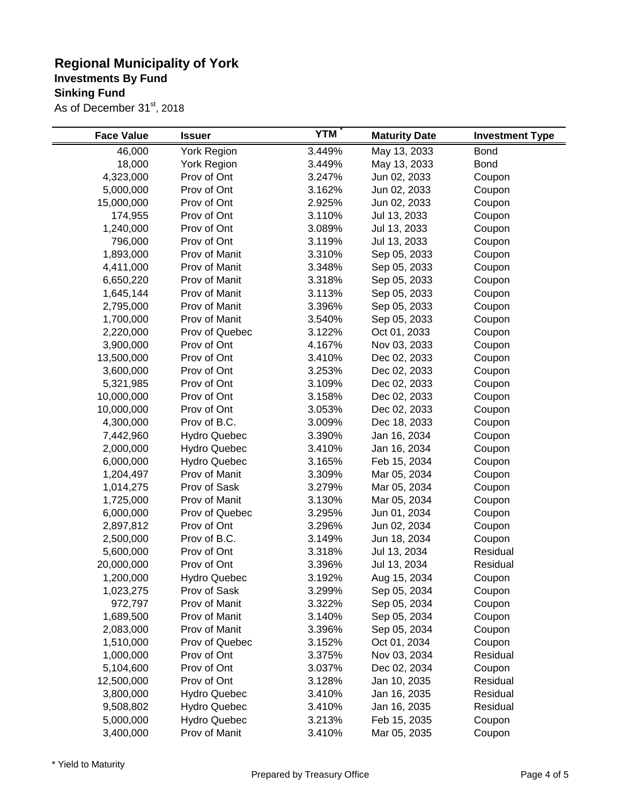| <b>Face Value</b> | <b>Issuer</b>       | <b>YTM</b> | <b>Maturity Date</b> | <b>Investment Type</b> |
|-------------------|---------------------|------------|----------------------|------------------------|
| 46,000            | York Region         | 3.449%     | May 13, 2033         | <b>Bond</b>            |
| 18,000            | York Region         | 3.449%     | May 13, 2033         | <b>Bond</b>            |
| 4,323,000         | Prov of Ont         | 3.247%     | Jun 02, 2033         | Coupon                 |
| 5,000,000         | Prov of Ont         | 3.162%     | Jun 02, 2033         | Coupon                 |
| 15,000,000        | Prov of Ont         | 2.925%     | Jun 02, 2033         | Coupon                 |
| 174,955           | Prov of Ont         | 3.110%     | Jul 13, 2033         | Coupon                 |
| 1,240,000         | Prov of Ont         | 3.089%     | Jul 13, 2033         | Coupon                 |
| 796,000           | Prov of Ont         | 3.119%     | Jul 13, 2033         | Coupon                 |
| 1,893,000         | Prov of Manit       | 3.310%     | Sep 05, 2033         | Coupon                 |
| 4,411,000         | Prov of Manit       | 3.348%     | Sep 05, 2033         | Coupon                 |
| 6,650,220         | Prov of Manit       | 3.318%     | Sep 05, 2033         | Coupon                 |
| 1,645,144         | Prov of Manit       | 3.113%     | Sep 05, 2033         | Coupon                 |
| 2,795,000         | Prov of Manit       | 3.396%     | Sep 05, 2033         | Coupon                 |
| 1,700,000         | Prov of Manit       | 3.540%     | Sep 05, 2033         | Coupon                 |
| 2,220,000         | Prov of Quebec      | 3.122%     | Oct 01, 2033         | Coupon                 |
| 3,900,000         | Prov of Ont         | 4.167%     | Nov 03, 2033         | Coupon                 |
| 13,500,000        | Prov of Ont         | 3.410%     | Dec 02, 2033         | Coupon                 |
| 3,600,000         | Prov of Ont         | 3.253%     | Dec 02, 2033         | Coupon                 |
| 5,321,985         | Prov of Ont         | 3.109%     | Dec 02, 2033         | Coupon                 |
| 10,000,000        | Prov of Ont         | 3.158%     | Dec 02, 2033         | Coupon                 |
| 10,000,000        | Prov of Ont         | 3.053%     | Dec 02, 2033         | Coupon                 |
| 4,300,000         | Prov of B.C.        | 3.009%     | Dec 18, 2033         | Coupon                 |
| 7,442,960         | <b>Hydro Quebec</b> | 3.390%     | Jan 16, 2034         | Coupon                 |
| 2,000,000         | <b>Hydro Quebec</b> | 3.410%     | Jan 16, 2034         | Coupon                 |
| 6,000,000         | <b>Hydro Quebec</b> | 3.165%     | Feb 15, 2034         | Coupon                 |
| 1,204,497         | Prov of Manit       | 3.309%     | Mar 05, 2034         | Coupon                 |
| 1,014,275         | Prov of Sask        | 3.279%     | Mar 05, 2034         | Coupon                 |
| 1,725,000         | Prov of Manit       | 3.130%     | Mar 05, 2034         | Coupon                 |
| 6,000,000         | Prov of Quebec      | 3.295%     | Jun 01, 2034         | Coupon                 |
| 2,897,812         | Prov of Ont         | 3.296%     | Jun 02, 2034         | Coupon                 |
| 2,500,000         | Prov of B.C.        | 3.149%     | Jun 18, 2034         | Coupon                 |
| 5,600,000         | Prov of Ont         | 3.318%     | Jul 13, 2034         | Residual               |
| 20,000,000        | Prov of Ont         | 3.396%     | Jul 13, 2034         | Residual               |
| 1,200,000         | <b>Hydro Quebec</b> | 3.192%     | Aug 15, 2034         | Coupon                 |
| 1,023,275         | Prov of Sask        | 3.299%     | Sep 05, 2034         | Coupon                 |
| 972,797           | Prov of Manit       | 3.322%     | Sep 05, 2034         | Coupon                 |
| 1,689,500         | Prov of Manit       | 3.140%     | Sep 05, 2034         | Coupon                 |
| 2,083,000         | Prov of Manit       | 3.396%     | Sep 05, 2034         | Coupon                 |
| 1,510,000         | Prov of Quebec      | 3.152%     | Oct 01, 2034         | Coupon                 |
| 1,000,000         | Prov of Ont         | 3.375%     | Nov 03, 2034         | Residual               |
| 5,104,600         | Prov of Ont         | 3.037%     | Dec 02, 2034         | Coupon                 |
| 12,500,000        | Prov of Ont         | 3.128%     | Jan 10, 2035         | Residual               |
| 3,800,000         | <b>Hydro Quebec</b> | 3.410%     | Jan 16, 2035         | Residual               |
| 9,508,802         | <b>Hydro Quebec</b> | 3.410%     | Jan 16, 2035         | Residual               |
| 5,000,000         | <b>Hydro Quebec</b> | 3.213%     | Feb 15, 2035         | Coupon                 |
| 3,400,000         | Prov of Manit       | 3.410%     | Mar 05, 2035         | Coupon                 |